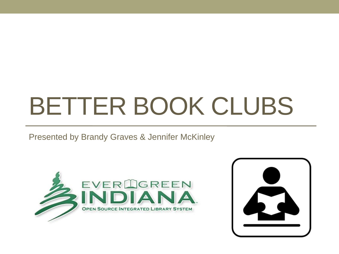# BETTER BOOK CLUBS

#### Presented by Brandy Graves & Jennifer McKinley



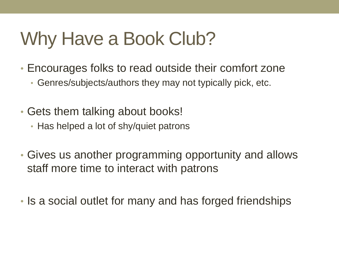### Why Have a Book Club?

- Encourages folks to read outside their comfort zone
	- Genres/subjects/authors they may not typically pick, etc.
- Gets them talking about books!
	- Has helped a lot of shy/quiet patrons
- Gives us another programming opportunity and allows staff more time to interact with patrons
- Is a social outlet for many and has forged friendships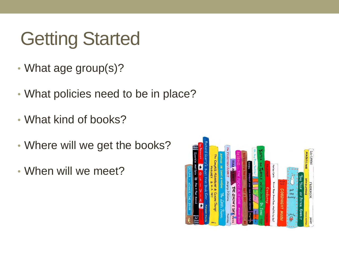# Getting Started

- What age group(s)?
- What policies need to be in place?
- What kind of books?
- Where will we get the books?
- When will we meet?

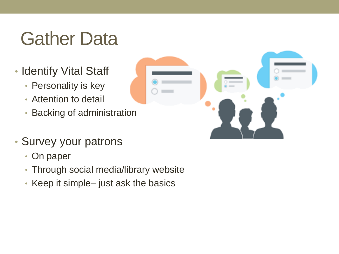### Gather Data

- Identify Vital Staff
	- Personality is key
	- Attention to detail
	- Backing of administration
- Survey your patrons
	- On paper
	- Through social media/library website
	- Keep it simple– just ask the basics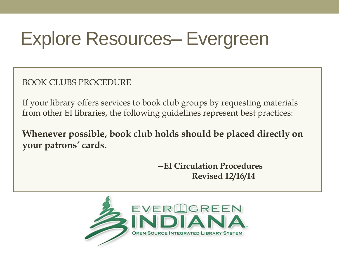### Explore Resources– Evergreen

BOOK CLUBS PROCEDURE

If your library offers services to book club groups by requesting materials from other EI libraries, the following guidelines represent best practices:

**Whenever possible, book club holds should be placed directly on your patrons' cards.**

> **--EI Circulation Procedures Revised 12/16/14**

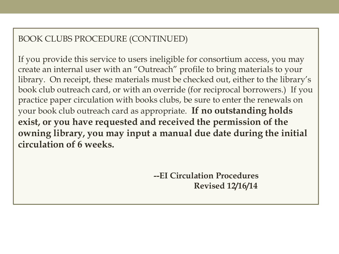#### BOOK CLUBS PROCEDURE (CONTINUED)

If you provide this service to users ineligible for consortium access, you may create an internal user with an "Outreach" profile to bring materials to your library. On receipt, these materials must be checked out, either to the library's book club outreach card, or with an override (for reciprocal borrowers.) If you practice paper circulation with books clubs, be sure to enter the renewals on your book club outreach card as appropriate. **If no outstanding holds exist, or you have requested and received the permission of the owning library, you may input a manual due date during the initial circulation of 6 weeks.**

> **--EI Circulation Procedures Revised 12/16/14**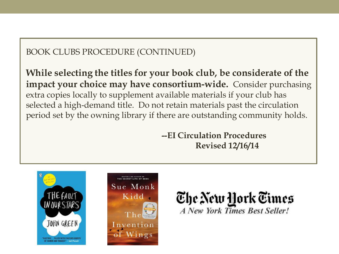#### BOOK CLUBS PROCEDURE (CONTINUED)

**While selecting the titles for your book club, be considerate of the impact your choice may have consortium-wide.** Consider purchasing extra copies locally to supplement available materials if your club has selected a high-demand title. Do not retain materials past the circulation period set by the owning library if there are outstanding community holds.

> **--EI Circulation Procedures Revised 12/16/14**





The New York Times **A New York Times Best Seller!**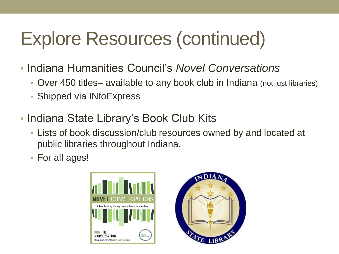# Explore Resources (continued)

- Indiana Humanities Council's *Novel Conversations*
	- Over 450 titles– available to any book club in Indiana (not just libraries)
	- Shipped via INfoExpress
- Indiana State Library's Book Club Kits
	- Lists of book discussion/club resources owned by and located at public libraries throughout Indiana.
	- For all ages!



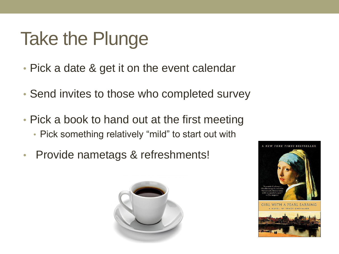### Take the Plunge

- Pick a date & get it on the event calendar
- Send invites to those who completed survey
- Pick a book to hand out at the first meeting • Pick something relatively "mild" to start out with
- Provide nametags & refreshments!



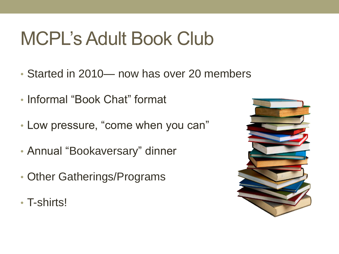### MCPL's Adult Book Club

- Started in 2010— now has over 20 members
- Informal "Book Chat" format
- Low pressure, "come when you can"
- Annual "Bookaversary" dinner
- Other Gatherings/Programs
- T-shirts!

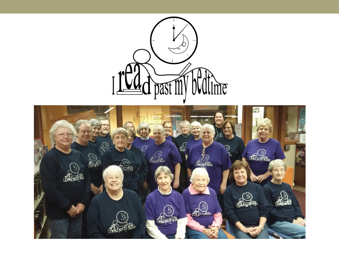

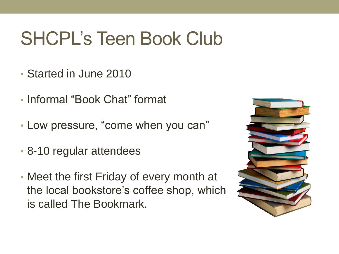### SHCPL's Teen Book Club

- Started in June 2010
- Informal "Book Chat" format
- Low pressure, "come when you can"
- 8-10 regular attendees
- Meet the first Friday of every month at the local bookstore's coffee shop, which is called The Bookmark.

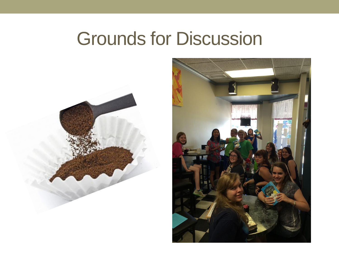#### Grounds for Discussion



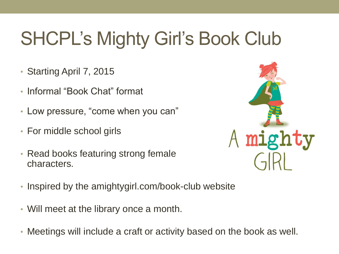# SHCPL's Mighty Girl's Book Club

- Starting April 7, 2015
- Informal "Book Chat" format
- Low pressure, "come when you can"
- For middle school girls
- Read books featuring strong female characters.



- Inspired by the amightygirl.com/book-club website
- Will meet at the library once a month.
- Meetings will include a craft or activity based on the book as well.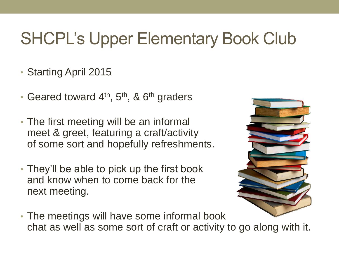#### SHCPL's Upper Elementary Book Club

#### • Starting April 2015

- Geared toward  $4<sup>th</sup>$ ,  $5<sup>th</sup>$ , &  $6<sup>th</sup>$  graders
- The first meeting will be an informal meet & greet, featuring a craft/activity of some sort and hopefully refreshments.
- They'll be able to pick up the first book and know when to come back for the next meeting.



• The meetings will have some informal book chat as well as some sort of craft or activity to go along with it.